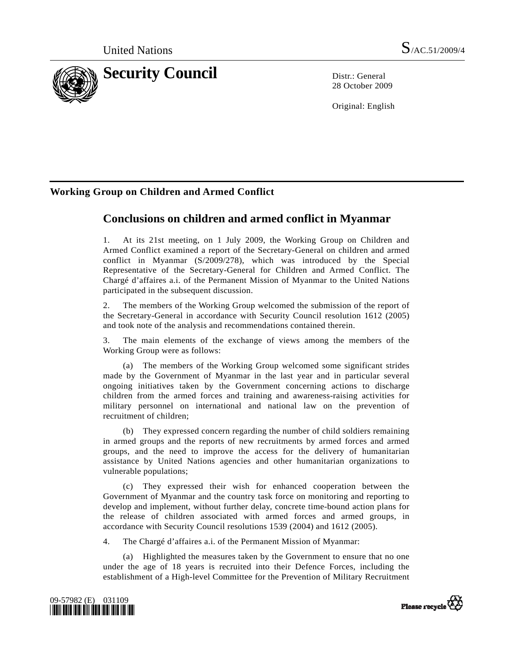

28 October 2009

Original: English

# **Working Group on Children and Armed Conflict**

# **Conclusions on children and armed conflict in Myanmar**

1. At its 21st meeting, on 1 July 2009, the Working Group on Children and Armed Conflict examined a report of the Secretary-General on children and armed conflict in Myanmar (S/2009/278), which was introduced by the Special Representative of the Secretary-General for Children and Armed Conflict. The Chargé d'affaires a.i. of the Permanent Mission of Myanmar to the United Nations participated in the subsequent discussion.

2. The members of the Working Group welcomed the submission of the report of the Secretary-General in accordance with Security Council resolution 1612 (2005) and took note of the analysis and recommendations contained therein.

3. The main elements of the exchange of views among the members of the Working Group were as follows:

 (a) The members of the Working Group welcomed some significant strides made by the Government of Myanmar in the last year and in particular several ongoing initiatives taken by the Government concerning actions to discharge children from the armed forces and training and awareness-raising activities for military personnel on international and national law on the prevention of recruitment of children;

 (b) They expressed concern regarding the number of child soldiers remaining in armed groups and the reports of new recruitments by armed forces and armed groups, and the need to improve the access for the delivery of humanitarian assistance by United Nations agencies and other humanitarian organizations to vulnerable populations;

 (c) They expressed their wish for enhanced cooperation between the Government of Myanmar and the country task force on monitoring and reporting to develop and implement, without further delay, concrete time-bound action plans for the release of children associated with armed forces and armed groups, in accordance with Security Council resolutions 1539 (2004) and 1612 (2005).

4. The Chargé d'affaires a.i. of the Permanent Mission of Myanmar:

 (a) Highlighted the measures taken by the Government to ensure that no one under the age of 18 years is recruited into their Defence Forces, including the establishment of a High-level Committee for the Prevention of Military Recruitment



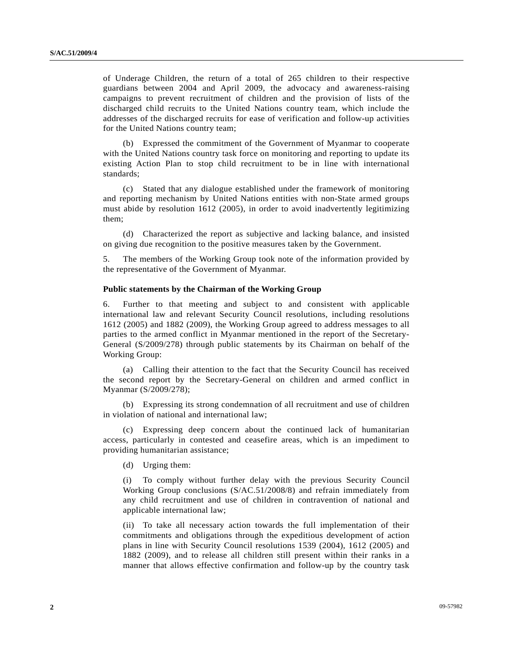of Underage Children, the return of a total of 265 children to their respective guardians between 2004 and April 2009, the advocacy and awareness-raising campaigns to prevent recruitment of children and the provision of lists of the discharged child recruits to the United Nations country team, which include the addresses of the discharged recruits for ease of verification and follow-up activities for the United Nations country team;

 (b) Expressed the commitment of the Government of Myanmar to cooperate with the United Nations country task force on monitoring and reporting to update its existing Action Plan to stop child recruitment to be in line with international standards;

 (c) Stated that any dialogue established under the framework of monitoring and reporting mechanism by United Nations entities with non-State armed groups must abide by resolution 1612 (2005), in order to avoid inadvertently legitimizing them;

 (d) Characterized the report as subjective and lacking balance, and insisted on giving due recognition to the positive measures taken by the Government.

5. The members of the Working Group took note of the information provided by the representative of the Government of Myanmar.

#### **Public statements by the Chairman of the Working Group**

6. Further to that meeting and subject to and consistent with applicable international law and relevant Security Council resolutions, including resolutions 1612 (2005) and 1882 (2009), the Working Group agreed to address messages to all parties to the armed conflict in Myanmar mentioned in the report of the Secretary-General (S/2009/278) through public statements by its Chairman on behalf of the Working Group:

 (a) Calling their attention to the fact that the Security Council has received the second report by the Secretary-General on children and armed conflict in Myanmar (S/2009/278);

 (b) Expressing its strong condemnation of all recruitment and use of children in violation of national and international law;

 (c) Expressing deep concern about the continued lack of humanitarian access, particularly in contested and ceasefire areas, which is an impediment to providing humanitarian assistance;

(d) Urging them:

 (i) To comply without further delay with the previous Security Council Working Group conclusions (S/AC.51/2008/8) and refrain immediately from any child recruitment and use of children in contravention of national and applicable international law;

 (ii) To take all necessary action towards the full implementation of their commitments and obligations through the expeditious development of action plans in line with Security Council resolutions 1539 (2004), 1612 (2005) and 1882 (2009), and to release all children still present within their ranks in a manner that allows effective confirmation and follow-up by the country task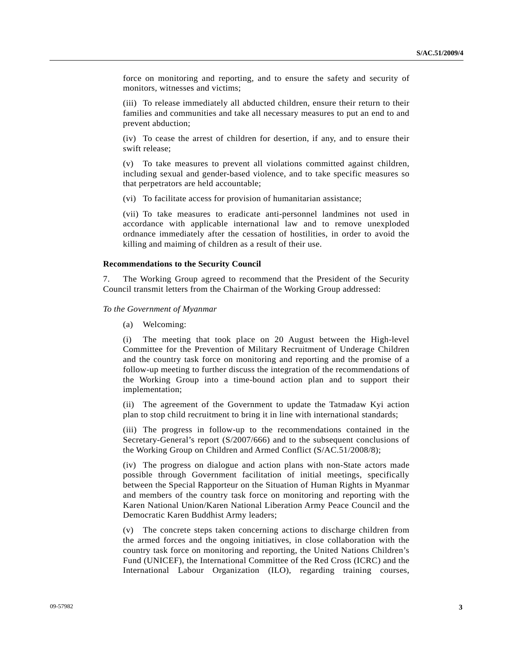force on monitoring and reporting, and to ensure the safety and security of monitors, witnesses and victims;

 (iii) To release immediately all abducted children, ensure their return to their families and communities and take all necessary measures to put an end to and prevent abduction;

 (iv) To cease the arrest of children for desertion, if any, and to ensure their swift release;

 (v) To take measures to prevent all violations committed against children, including sexual and gender-based violence, and to take specific measures so that perpetrators are held accountable;

(vi) To facilitate access for provision of humanitarian assistance;

 (vii) To take measures to eradicate anti-personnel landmines not used in accordance with applicable international law and to remove unexploded ordnance immediately after the cessation of hostilities, in order to avoid the killing and maiming of children as a result of their use.

#### **Recommendations to the Security Council**

7. The Working Group agreed to recommend that the President of the Security Council transmit letters from the Chairman of the Working Group addressed:

#### *To the Government of Myanmar*

(a) Welcoming:

 (i) The meeting that took place on 20 August between the High-level Committee for the Prevention of Military Recruitment of Underage Children and the country task force on monitoring and reporting and the promise of a follow-up meeting to further discuss the integration of the recommendations of the Working Group into a time-bound action plan and to support their implementation;

 (ii) The agreement of the Government to update the Tatmadaw Kyi action plan to stop child recruitment to bring it in line with international standards;

 (iii) The progress in follow-up to the recommendations contained in the Secretary-General's report (S/2007/666) and to the subsequent conclusions of the Working Group on Children and Armed Conflict (S/AC.51/2008/8);

 (iv) The progress on dialogue and action plans with non-State actors made possible through Government facilitation of initial meetings, specifically between the Special Rapporteur on the Situation of Human Rights in Myanmar and members of the country task force on monitoring and reporting with the Karen National Union/Karen National Liberation Army Peace Council and the Democratic Karen Buddhist Army leaders;

 (v) The concrete steps taken concerning actions to discharge children from the armed forces and the ongoing initiatives, in close collaboration with the country task force on monitoring and reporting, the United Nations Children's Fund (UNICEF), the International Committee of the Red Cross (ICRC) and the International Labour Organization (ILO), regarding training courses,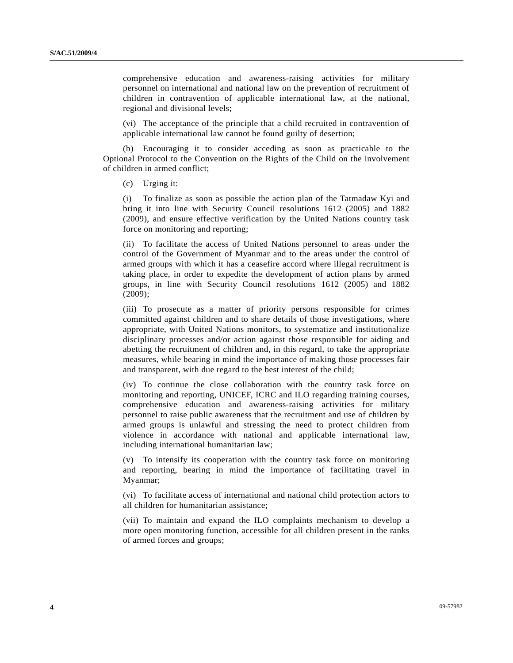comprehensive education and awareness-raising activities for military personnel on international and national law on the prevention of recruitment of children in contravention of applicable international law, at the national, regional and divisional levels;

 (vi) The acceptance of the principle that a child recruited in contravention of applicable international law cannot be found guilty of desertion;

 (b) Encouraging it to consider acceding as soon as practicable to the Optional Protocol to the Convention on the Rights of the Child on the involvement of children in armed conflict;

(c) Urging it:

 (i) To finalize as soon as possible the action plan of the Tatmadaw Kyi and bring it into line with Security Council resolutions 1612 (2005) and 1882 (2009), and ensure effective verification by the United Nations country task force on monitoring and reporting;

 (ii) To facilitate the access of United Nations personnel to areas under the control of the Government of Myanmar and to the areas under the control of armed groups with which it has a ceasefire accord where illegal recruitment is taking place, in order to expedite the development of action plans by armed groups, in line with Security Council resolutions 1612 (2005) and 1882 (2009);

 (iii) To prosecute as a matter of priority persons responsible for crimes committed against children and to share details of those investigations, where appropriate, with United Nations monitors, to systematize and institutionalize disciplinary processes and/or action against those responsible for aiding and abetting the recruitment of children and, in this regard, to take the appropriate measures, while bearing in mind the importance of making those processes fair and transparent, with due regard to the best interest of the child;

 (iv) To continue the close collaboration with the country task force on monitoring and reporting, UNICEF, ICRC and ILO regarding training courses, comprehensive education and awareness-raising activities for military personnel to raise public awareness that the recruitment and use of children by armed groups is unlawful and stressing the need to protect children from violence in accordance with national and applicable international law, including international humanitarian law;

 (v) To intensify its cooperation with the country task force on monitoring and reporting, bearing in mind the importance of facilitating travel in Myanmar;

 (vi) To facilitate access of international and national child protection actors to all children for humanitarian assistance;

 (vii) To maintain and expand the ILO complaints mechanism to develop a more open monitoring function, accessible for all children present in the ranks of armed forces and groups;